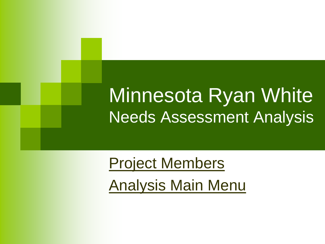### Minnesota Ryan White Needs Assessment Analysis

<span id="page-0-0"></span>[Project Members](#page-1-0) [Analysis Main Menu](#page-2-0)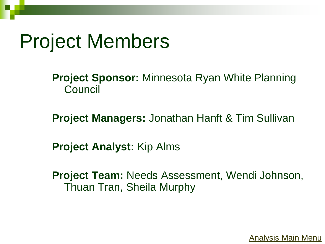### Project Members

**Project Sponsor:** Minnesota Ryan White Planning **Council** 

**Project Managers:** Jonathan Hanft & Tim Sullivan

**Project Analyst:** Kip Alms

<span id="page-1-0"></span>**Project Team:** Needs Assessment, Wendi Johnson, Thuan Tran, Sheila Murphy

[Analysis Main Menu](#page-2-0)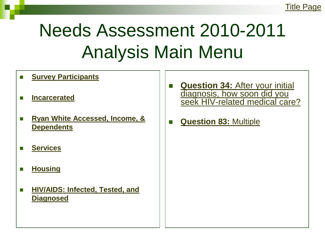## Needs Assessment 2010-2011 Analysis Main Menu

- **[Survey Participants](#page-3-0)**
- **[Incarcerated](#page-20-0)**
- **Ryan White Accessed, Income, & [Dependents](#page-25-0)**
- **[Services](#page-31-0)**
- **[Housing](#page-33-0)**
- <span id="page-2-0"></span> **[HIV/AIDS: Infected, Tested, and](#page-39-0)  [Diagnosed](#page-39-0)**
- **[Question 34:](#page-46-0)** [After your initial](#page-46-0)  [diagnosis, how soon did you](#page-46-0)  [seek HIV-related medical care?](#page-46-0)
- **[Question 83:](#page-53-0)** [Multiple](#page-53-0)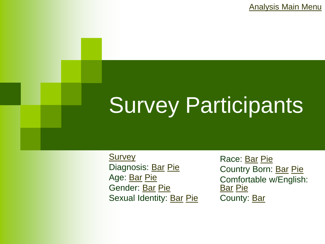[Analysis Main Menu](#page-2-0)

# Survey Participants

<span id="page-3-0"></span>**[Survey](#page-4-0)** Diagnosis: [Bar](#page-6-0) [Pie](#page-5-0) Age: [Bar](#page-8-0) [Pie](#page-7-0) Gender: [Bar](#page-10-0) [Pie](#page-9-0) Sexual Identity: [Bar](#page-12-0) [Pie](#page-11-0)

Race: [Bar](#page-14-0) [Pie](#page-13-0) Country Born: [Bar](#page-16-0) [Pie](#page-15-0) Comfortable w/English: [Bar](#page-18-0) [Pie](#page-17-0) County: [Bar](#page-19-0)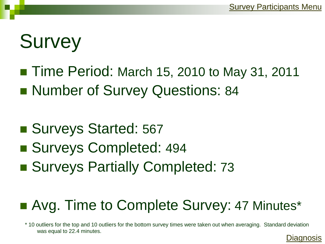[Diagnosis](#page-5-0)

## **Survey**

- Time Period: March 15, 2010 to May 31, 2011
- Number of Survey Questions: 84
- Surveys Started: 567
- Surveys Completed: 494
- Surveys Partially Completed: 73

#### ■ Avg. Time to Complete Survey: 47 Minutes\*

<span id="page-4-0"></span>\* 10 outliers for the top and 10 outliers for the bottom survey times were taken out when averaging. Standard deviation was equal to 22.4 minutes.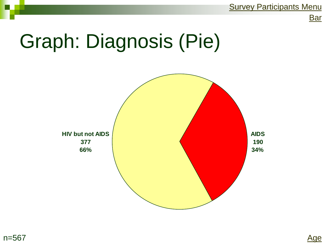**[Survey Participants Menu](#page-3-0)** 

**[Bar](#page-6-0)** 

## Graph: Diagnosis (Pie)

<span id="page-5-0"></span>

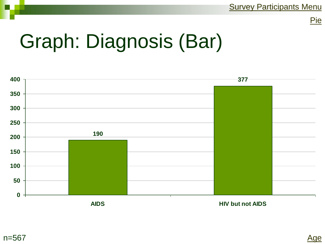## Graph: Diagnosis (Bar)



<span id="page-6-0"></span>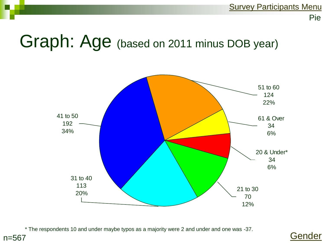### Graph: Age (based on 2011 minus DOB year)



\* The respondents 10 and under maybe typos as a majority were 2 and under and one was -37.

<span id="page-7-0"></span>n=567

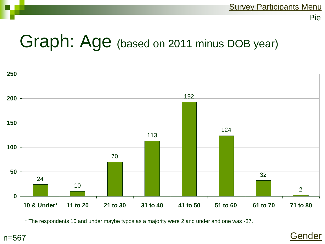### Graph: Age (based on 2011 minus DOB year)



<span id="page-8-0"></span>\* The respondents 10 and under maybe typos as a majority were 2 and under and one was -37.

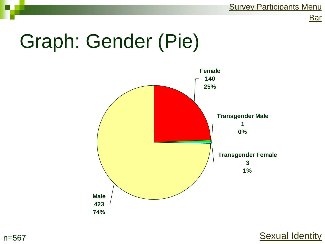**[Bar](#page-10-0)** 

## Graph: Gender (Pie)





<span id="page-9-0"></span>n=567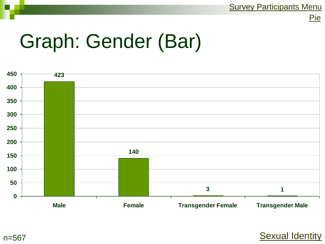**[Sexual Identity](#page-12-0)** 



## Graph: Gender (Bar)



<span id="page-10-0"></span>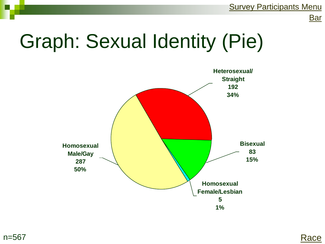## Graph: Sexual Identity (Pie)



<span id="page-11-0"></span>

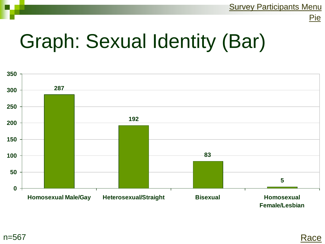

## Graph: Sexual Identity (Bar)



<span id="page-12-0"></span>

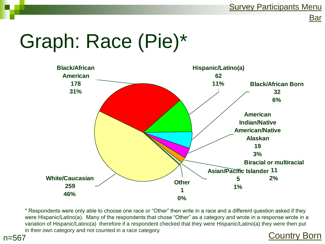**[Bar](#page-14-0)** 

## Graph: Race (Pie)\*

<span id="page-13-0"></span>n=567



\* Respondents were only able to choose one race or "Other" then write in a race and a different question asked if they were Hispanic/Latino(a). Many of the respondents that chose "Other" as a category and wrote in a response wrote in a variation of Hispanic/Latino(a) therefore if a respondent checked that they were Hispanic/Latino(a) they were then put in their own category and not counted in a race category.<br> **Example:** [Country Born](#page-16-0)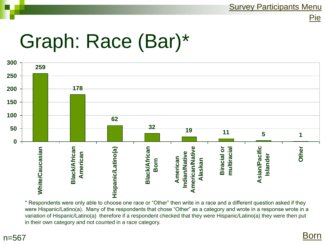## Graph: Race (Bar)\*



<span id="page-14-0"></span>\* Respondents were only able to choose one race or "Other" then write in a race and a different question asked if they were Hispanic/Latino(a). Many of the respondents that chose "Other" as a category and wrote in a response wrote in a variation of Hispanic/Latino(a) therefore if a respondent checked that they were Hispanic/Latino(a) they were then put in their own category and not counted in a race category.

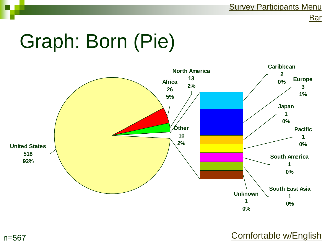**[Bar](#page-16-0)** 

## Graph: Born (Pie)



[Comfortable w/English](#page-17-0)

<span id="page-15-0"></span>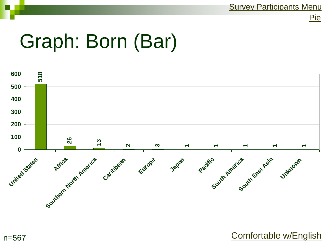## Graph: Born (Bar)

<span id="page-16-0"></span>n=567



[Comfortable w/English](#page-17-0)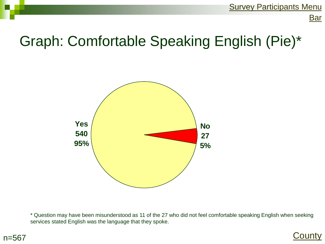**[Bar](#page-18-0)** 

#### Graph: Comfortable Speaking English (Pie)\*



\* Question may have been misunderstood as 11 of the 27 who did not feel comfortable speaking English when seeking services stated English was the language that they spoke.

<span id="page-17-0"></span>

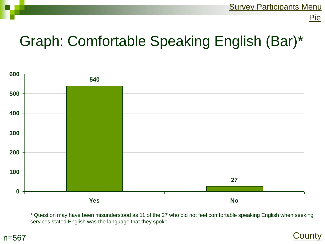

#### Graph: Comfortable Speaking English (Bar)\*



\* Question may have been misunderstood as 11 of the 27 who did not feel comfortable speaking English when seeking services stated English was the language that they spoke.

<span id="page-18-0"></span>

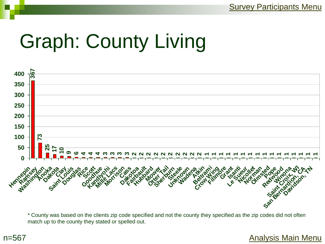## Graph: County Living



\* County was based on the clients zip code specified and not the county they specified as the zip codes did not often match up to the county they stated or spelled out.

#### <span id="page-19-0"></span>n=567

#### [Analysis Main Menu](#page-2-0)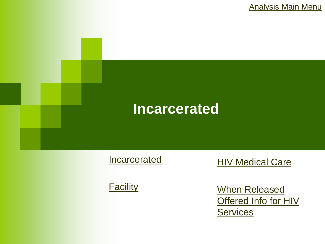[Analysis Main Menu](#page-2-0)



**[Incarcerated](#page-21-0)** 

<span id="page-20-0"></span>**[Facility](#page-22-0)** 

**HIV Medical Care** 

[When Released](#page-24-0)  **Offered Info for HIV Services**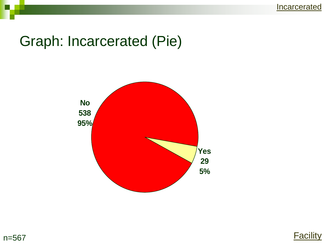**[Incarcerated](#page-20-0)** 

#### Graph: Incarcerated (Pie)



<span id="page-21-0"></span>

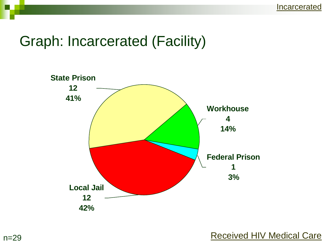#### Graph: Incarcerated (Facility)



#### <span id="page-22-0"></span>n=29 **[Received HIV Medical Care](#page-23-0)**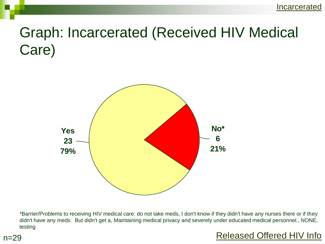#### Graph: Incarcerated (Received HIV Medical Care)



\*Barrier/Problems to receiving HIV medical care: do not take meds, I don't know if they didn't have any nurses there or if they didn't have any meds. But didn't get a, Maintaining medical privacy and severely under educated medical personnel., NONE, testing

<span id="page-23-0"></span>

#### [Released Offered HIV Info](#page-24-0)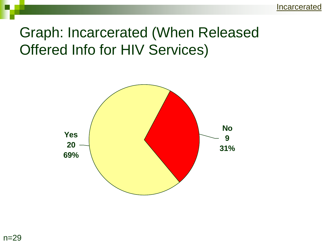#### Graph: Incarcerated (When Released Offered Info for HIV Services)

<span id="page-24-0"></span>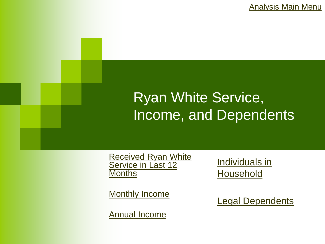[Analysis Main Menu](#page-2-0)

#### Ryan White Service, Income, and Dependents

[Received Ryan White](#page-26-0)  Service in Last 12 **[Months](#page-26-0)** 

[Monthly Income](#page-27-0)

<span id="page-25-0"></span>[Annual Income](#page-28-0)

[Individuals in](#page-29-0)  **[Household](#page-29-0)** 

[Legal Dependents](#page-30-0)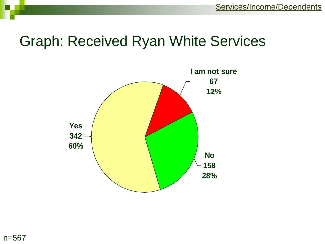#### Graph: Received Ryan White Services



<span id="page-26-0"></span>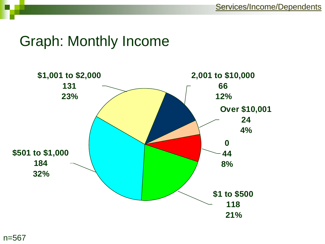#### <span id="page-27-0"></span>Graph: Monthly Income

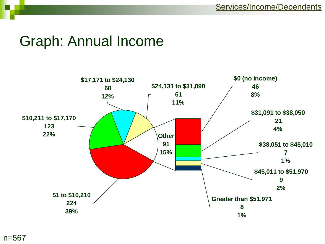#### Graph: Annual Income

<span id="page-28-0"></span>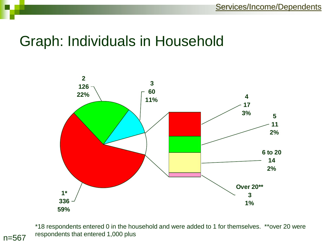#### Graph: Individuals in Household



\*18 respondents entered 0 in the household and were added to 1 for themselves. \*\*over 20 were respondents that entered 1,000 plus

<span id="page-29-0"></span>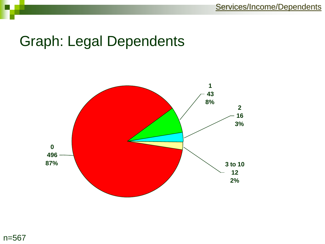#### Graph: Legal Dependents



<span id="page-30-0"></span>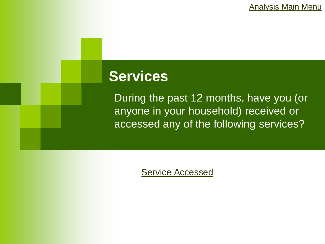[Analysis Main Menu](#page-2-0)

#### **Services**

During the past 12 months, have you (or anyone in your household) received or accessed any of the following services?

<span id="page-31-0"></span>[Service Accessed](#page-32-0)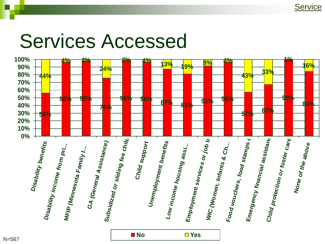### <span id="page-32-0"></span>Services Accessed

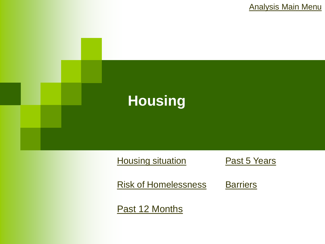[Analysis Main Menu](#page-2-0)



[Risk of Homelessness](#page-35-0)

**[Barriers](#page-38-0)** 

<span id="page-33-0"></span>[Past 12 Months](#page-36-0)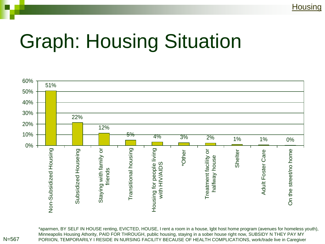## Graph: Housing Situation



\*aparmen, BY SELF IN HOUSE renting, EVICTED, HOUSE, I rent a room in a house, lgbt host home program (avenues for homeless youth), Minneapolis Housing Athority, PAID FOR THROUGH, public housing, staying in a sober house right now, SUBSIDY N THEY PAY MY N=567 PORIION, TEMPORARILY I RESIDE IN NURSING FACILITY BECAUSE OF HEALTH COMPLICATIONS, work/trade live in Caregiver

<span id="page-34-0"></span>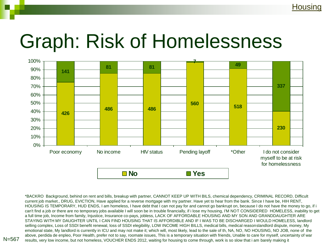## Graph: Risk of Homelessness



<span id="page-35-0"></span>\*BACKRO Background, behind on rent and bills, breakup with partner, CANNOT KEEP UP WITH BILS, chemical dependency, CRIMINAL RECORD, Difficult current job market., DRUG, EVICTION, Have applied for a reverse mortgage with my partner. Have yet to hear from the bank. Since I have be, HIH RENT, HOUSING IS TEMPORARY, HUD ENDS, I am homeless, I have debt that I can not pay for and cannot go bankrupt on, because I do not have the money to go, if i can't find a job or there are no temporary jobs available I will soon be in trouble financially, if i lose my housing, I'M NOT CONSIDERED HOMELESS, inability to get a full time job, Income from family, Injustice, Insurance co-pays, jobless, LACK OF AFFORDABLE HOUSING AND MY SON AND GRANDDAUGHTER ARE STAYING WITH MY DAUGHTER UNTIL I CAN FIND HOUSING THAT IS AFFORDIBLE AND IF I WAS TO BE DISCHARGED I WOULD HOMELESS, landlord selling complex, Loss of SSDI benefit renewal, loss of SSDI elegibility, LOW INCOME HIGH BILLS, medical bills, medical reasonslandlord dispute, money, My emotional state, My landlord is currently in ICU and may not make it; which will, most likely, lead to the sale of th, NA, NO, NO HOUSING, NO JOB, none of the above, perdida de enpleo, Poor Health, prefer not to say, roomate issues, This is a temporary situation with friends, Unable to care for myself, uncertainty of war results, very low income, but not homeless, VOUCHER ENDS 2012, waiting for housing to come through, work is so slow that i am barely making it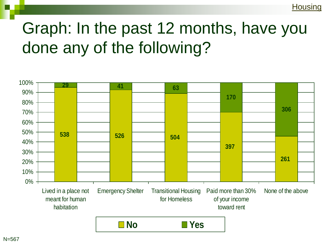## Graph: In the past 12 months, have you done any of the following?

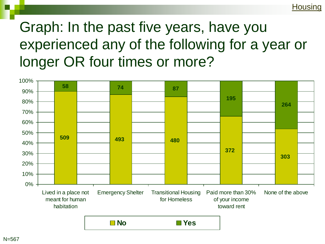## Graph: In the past five years, have you experienced any of the following for a year or longer OR four times or more?

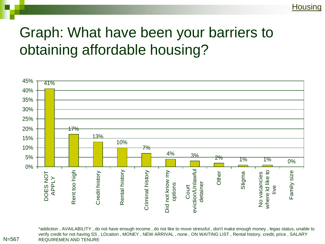## Graph: What have been your barriers to obtaining affordable housing?



\*addiction , AVAILABILITY , do not have enough income , do not like to move stressful , don't make enough money , legas status, unable to verify credit for not having SS , LOcation , MONEY , NEW ARRIVAL , none , ON WAITING LIST , Rental history, credit, price , SALARY N=567 REQUIREMEN AND TENURE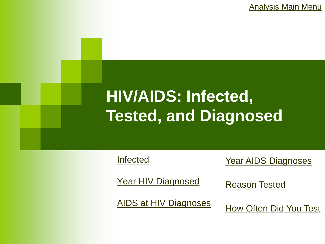[Analysis Main Menu](#page-2-0)

## **HIV/AIDS: Infected, Tested, and Diagnosed**

[Infected](#page-40-0)

**[Year AIDS Diagnoses](#page-43-0)** 

[Year HIV Diagnosed](#page-41-0)

<span id="page-39-0"></span>[AIDS at HIV Diagnoses](#page-42-0) 

[Reason Tested](#page-44-0)

[How Often Did You Test](#page-45-0)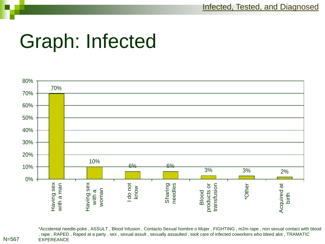[Infected, Tested, and Diagnosed](#page-39-0)

## Graph: Infected



\*Accidental needle-poke , ASSULT , Blood Infusion , Contacto Sexual hombre o Mujer , FIGHTING , m2m rape , non sexual contact with blood , rape , RAPED , Raped at a party , sex , sexual assult , sexually assaulted , took care of infected coworkers who bleed alot , TRAMATIC N=567 EXPEREANCE

<span id="page-40-0"></span>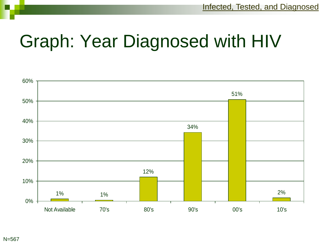# Graph: Year Diagnosed with HIV

<span id="page-41-0"></span>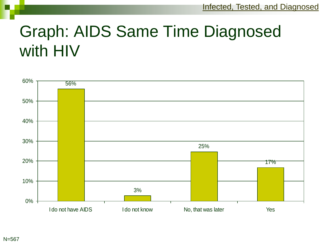## Graph: AIDS Same Time Diagnosed with HIV

<span id="page-42-0"></span>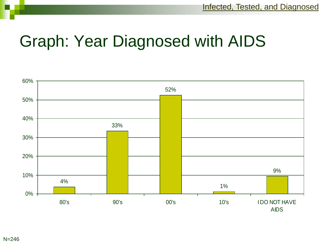## Graph: Year Diagnosed with AIDS

<span id="page-43-0"></span>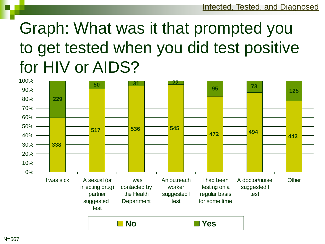## Graph: What was it that prompted you to get tested when you did test positive for HIV or AIDS?

<span id="page-44-0"></span>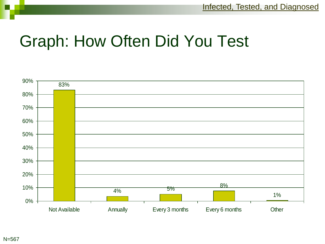## Graph: How Often Did You Test

<span id="page-45-0"></span>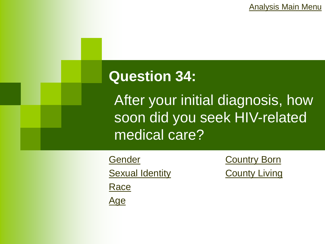[Analysis Main Menu](#page-2-0)

### **Question 34:**

After your initial diagnosis, how soon did you seek HIV-related medical care?

<span id="page-46-0"></span>**[Gender](#page-47-0) [Sexual Identity](#page-48-0) [Race](#page-49-0)** [Age](#page-50-0)

**[Country Born](#page-51-0) [County Living](#page-52-0)**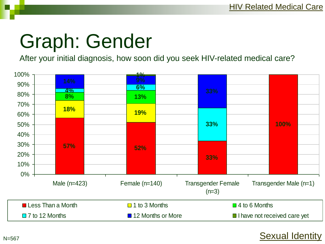# Graph: Gender

After your initial diagnosis, how soon did you seek HIV-related medical care?

<span id="page-47-0"></span>

#### [Sexual Identity](#page-48-0)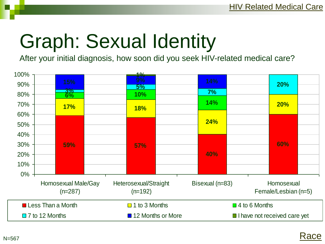# Graph: Sexual Identity

After your initial diagnosis, how soon did you seek HIV-related medical care?



<span id="page-48-0"></span>N=567

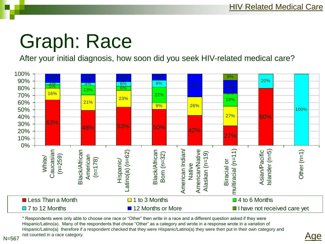# Graph: Race

After your initial diagnosis, how soon did you seek HIV-related medical care?



\* Respondents were only able to choose one race or "Other" then write in a race and a different question asked if they were Hispanic/Latino(a). Many of the respondents that chose "Other" as a category and wrote in a response wrote in a variation of Hispanic/Latino(a) therefore if a respondent checked that they were Hispanic/Latino(a) they were then put in their own category and not counted in a race category.



<span id="page-49-0"></span>N=567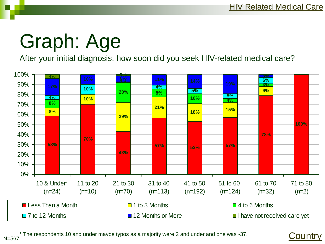# Graph: Age

After your initial diagnosis, how soon did you seek HIV-related medical care?



<span id="page-50-0"></span>The respondents 10 and under maybe typos as a majority were 2 and under and one was -37. N=567

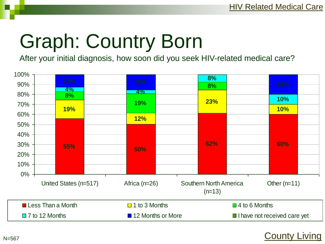# Graph: Country Born

After your initial diagnosis, how soon did you seek HIV-related medical care?

<span id="page-51-0"></span>

#### [County Living](#page-52-0)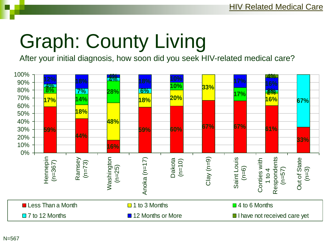# Graph: County Living

After your initial diagnosis, how soon did you seek HIV-related medical care?

<span id="page-52-0"></span>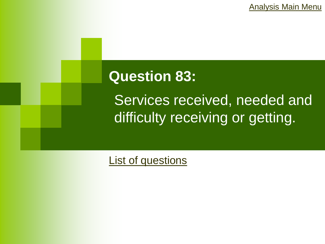[Analysis Main Menu](#page-2-0)

### **Question 83:**

Services received, needed and difficulty receiving or getting.

<span id="page-53-0"></span>[List of questions](#page-54-0)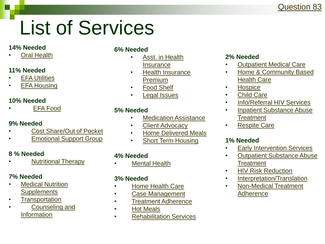#### [Question 83](#page-53-0)

# List of Services

#### **14% Needed**

**[Oral Health](#page-57-0)** 

#### **11% Needed**

- **[EFA Utilities](#page-74-0)**
- **[EFA Housing](#page-75-0)**

#### **10% Needed**

• [EFA Food](#page-76-0)

#### **9% Needed**

- [Cost Share/Out of Pocket](#page-60-0)
- **[Emotional Support Group](#page-85-0)**

#### **8 % Needed**

• [Nutritional Therapy](#page-65-0)

#### **7% Needed**

- [Medical Nutrition](#page-66-0)  **[Supplements](#page-66-0)**
- [Transportation](#page-84-0)
- <span id="page-54-0"></span>• [Counseling and](#page-71-0)  **[Information](#page-71-0)**

#### **6% Needed**

- [Asst. in Health](#page-72-0)  **[Insurance](#page-72-0)**
- [Health Insurance](#page-59-0)  [Premium](#page-59-0)
- [Food Shelf](#page-77-0)
- [Legal Issues](#page-82-0)

#### **5% Needed**

- [Medication Assistance](#page-56-0)
- [Client Advocacy](#page-68-0)
- [Home Delivered Meals](#page-78-0)
- [Short Term Housing](#page-81-0)

#### **4% Needed**

**[Mental Health](#page-64-0)** 

#### **3% Needed**

- [Home Health Care](#page-61-0)
- [Case Management](#page-67-0)
- [Treatment Adherence](#page-69-0)
- [Hot Meals](#page-79-0)
- [Rehabilitation Services](#page-87-0)

#### **2% Needed**

- [Outpatient Medical Care](#page-55-0)
- [Home & Community Based](#page-62-0)  [Health Care](#page-62-0)
- [Hospice](#page-63-0)
- [Child Care](#page-73-0)
- [Info/Referral HIV Services](#page-86-0)
- [Inpatient Substance Abuse](#page-88-0)  **[Treatment](#page-88-0)**
- [Respite Care](#page-90-0)

#### **1% Needed**

- **[Early Intervention Services](#page-58-0)**
- [Outpatient Substance Abuse](#page-70-0)  **[Treatment](#page-70-0)**
- [HIV Risk Reduction](#page-80-0)
- [Interpretation/Translation](#page-83-0)
- [Non-Medical Treatment](#page-89-0)  [Adherence](#page-89-0)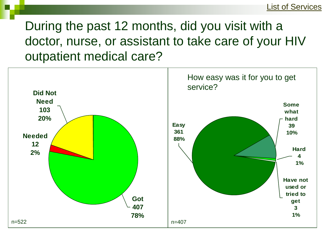During the past 12 months, did you visit with a doctor, nurse, or assistant to take care of your HIV outpatient medical care?

<span id="page-55-0"></span>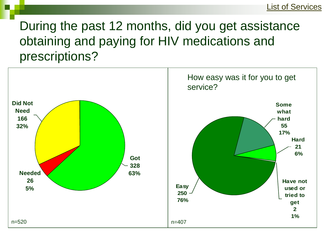## During the past 12 months, did you get assistance obtaining and paying for HIV medications and prescriptions?

<span id="page-56-0"></span>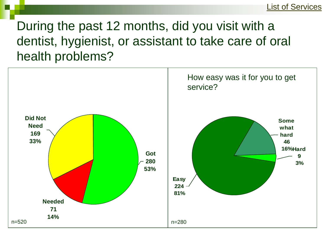### During the past 12 months, did you visit with a dentist, hygienist, or assistant to take care of oral health problems?

<span id="page-57-0"></span>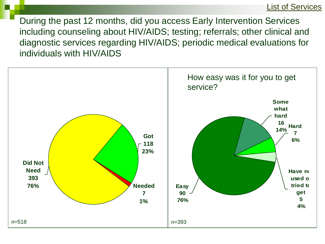During the past 12 months, did you access Early Intervention Services including counseling about HIV/AIDS; testing; referrals; other clinical and diagnostic services regarding HIV/AIDS; periodic medical evaluations for individuals with HIV/AIDS

<span id="page-58-0"></span>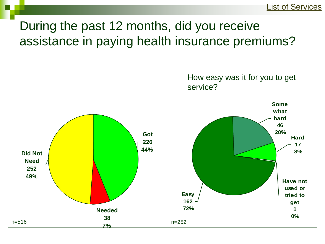## During the past 12 months, did you receive assistance in paying health insurance premiums?

<span id="page-59-0"></span>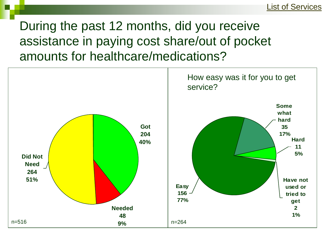## During the past 12 months, did you receive assistance in paying cost share/out of pocket amounts for healthcare/medications?

<span id="page-60-0"></span>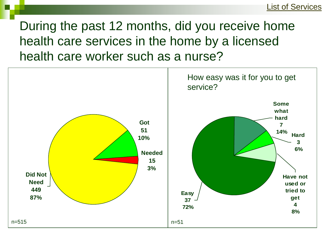## During the past 12 months, did you receive home health care services in the home by a licensed health care worker such as a nurse?

<span id="page-61-0"></span>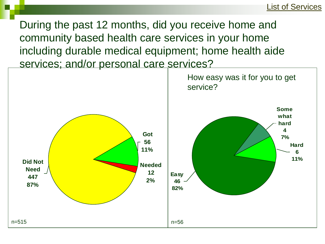During the past 12 months, did you receive home and community based health care services in your home including durable medical equipment; home health aide services; and/or personal care services?

<span id="page-62-0"></span>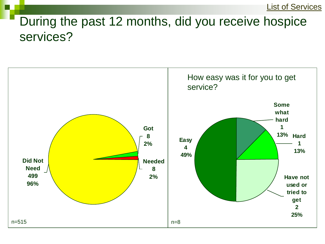### During the past 12 months, did you receive hospice services?

<span id="page-63-0"></span>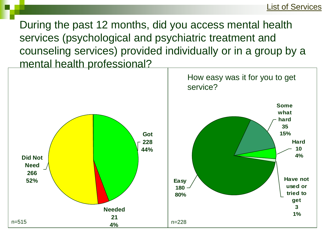During the past 12 months, did you access mental health services (psychological and psychiatric treatment and counseling services) provided individually or in a group by a mental health professional?

<span id="page-64-0"></span>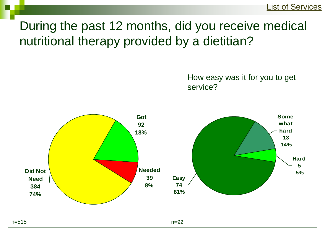## During the past 12 months, did you receive medical nutritional therapy provided by a dietitian?

<span id="page-65-0"></span>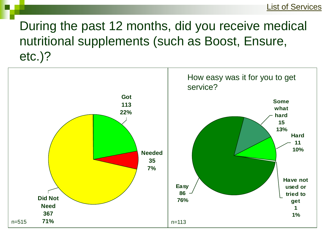## During the past 12 months, did you receive medical nutritional supplements (such as Boost, Ensure, etc.)?

<span id="page-66-0"></span>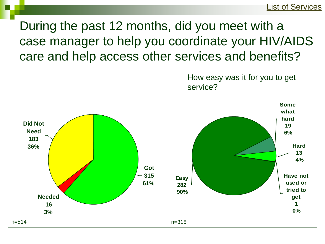During the past 12 months, did you meet with a case manager to help you coordinate your HIV/AIDS care and help access other services and benefits?

<span id="page-67-0"></span>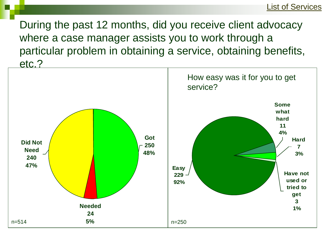During the past 12 months, did you receive client advocacy where a case manager assists you to work through a particular problem in obtaining a service, obtaining benefits, etc.?

<span id="page-68-0"></span>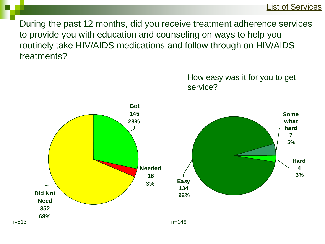[List of Services](#page-54-0)

During the past 12 months, did you receive treatment adherence services to provide you with education and counseling on ways to help you routinely take HIV/AIDS medications and follow through on HIV/AIDS treatments?

<span id="page-69-0"></span>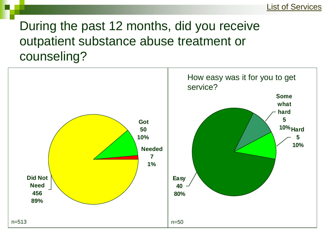## During the past 12 months, did you receive outpatient substance abuse treatment or counseling?

<span id="page-70-0"></span>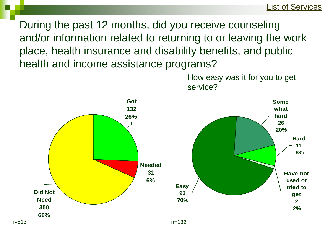During the past 12 months, did you receive counseling and/or information related to returning to or leaving the work place, health insurance and disability benefits, and public health and income assistance programs?

<span id="page-71-0"></span>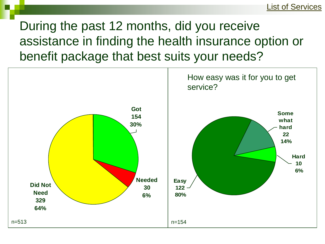During the past 12 months, did you receive assistance in finding the health insurance option or benefit package that best suits your needs?

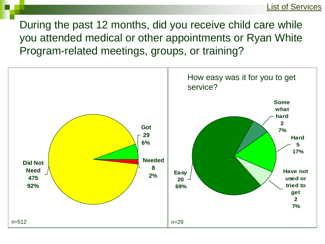During the past 12 months, did you receive child care while you attended medical or other appointments or Ryan White Program-related meetings, groups, or training?

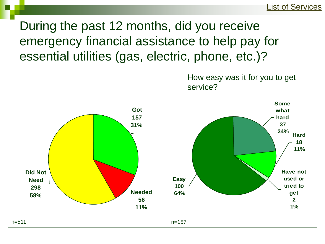During the past 12 months, did you receive emergency financial assistance to help pay for essential utilities (gas, electric, phone, etc.)?

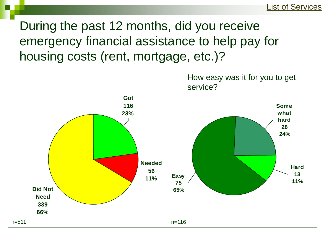During the past 12 months, did you receive emergency financial assistance to help pay for housing costs (rent, mortgage, etc.)?

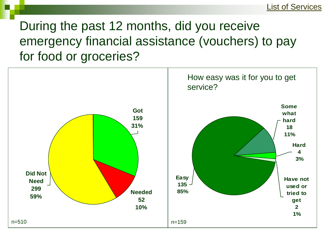During the past 12 months, did you receive emergency financial assistance (vouchers) to pay for food or groceries?

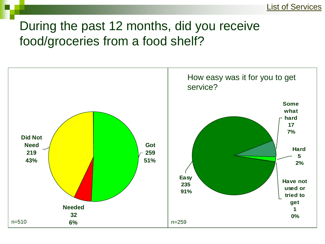### During the past 12 months, did you receive food/groceries from a food shelf?

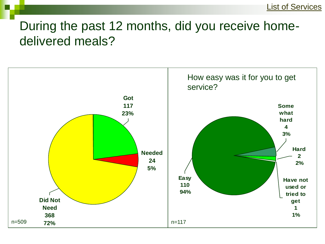### During the past 12 months, did you receive homedelivered meals?

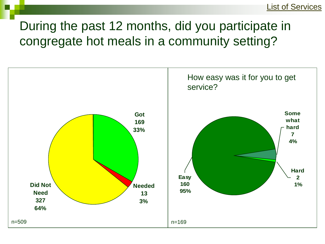# During the past 12 months, did you participate in congregate hot meals in a community setting?

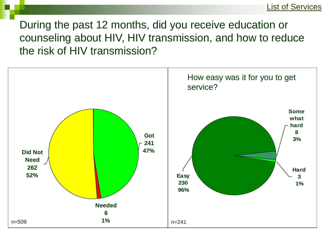During the past 12 months, did you receive education or counseling about HIV, HIV transmission, and how to reduce the risk of HIV transmission?

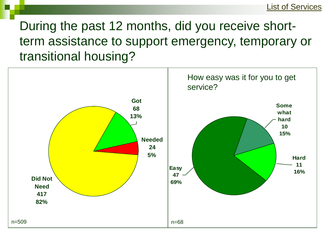During the past 12 months, did you receive shortterm assistance to support emergency, temporary or transitional housing?

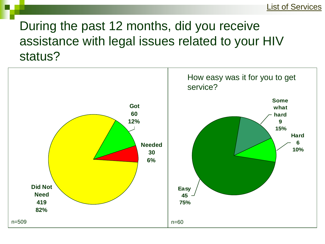### During the past 12 months, did you receive assistance with legal issues related to your HIV status?

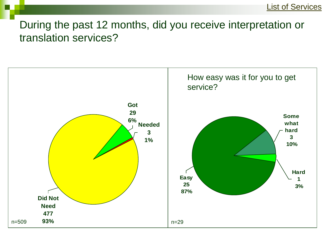#### During the past 12 months, did you receive interpretation or translation services?

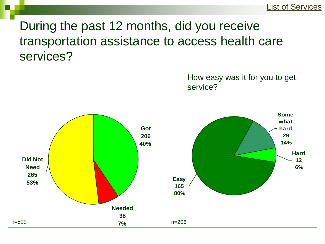## During the past 12 months, did you receive transportation assistance to access health care services?

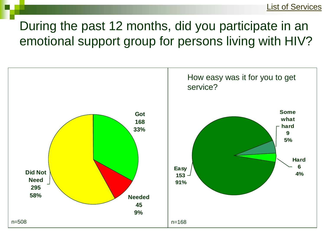# During the past 12 months, did you participate in an emotional support group for persons living with HIV?

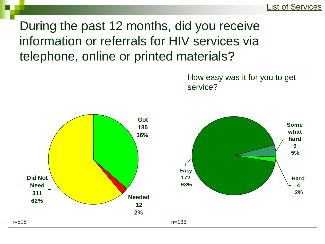During the past 12 months, did you receive information or referrals for HIV services via telephone, online or printed materials?

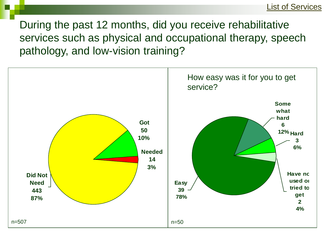During the past 12 months, did you receive rehabilitative services such as physical and occupational therapy, speech pathology, and low-vision training?

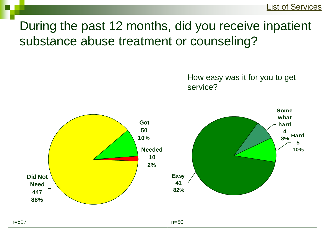## During the past 12 months, did you receive inpatient substance abuse treatment or counseling?

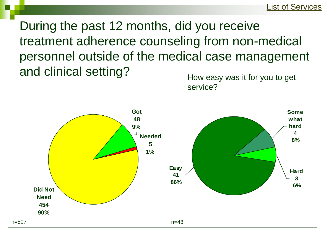During the past 12 months, did you receive treatment adherence counseling from non-medical personnel outside of the medical case management